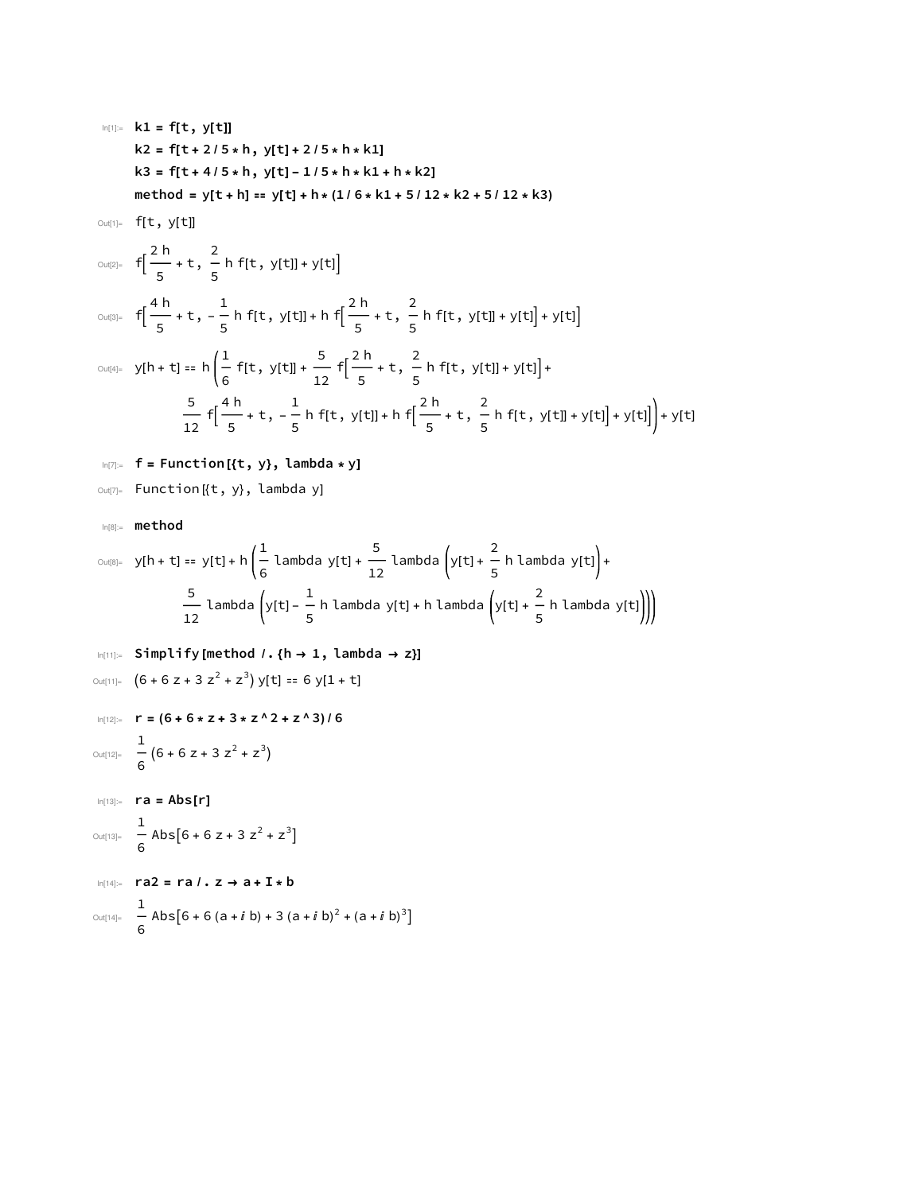$$
k1 = f[t, y[t]]
$$
\n
$$
k2 = f[t + 2/5 * h, y[t] + 2/5 * h * k1]
$$
\n
$$
k3 = f[t + 4/5 * h, y[t] - 1/5 * h * k1 + h * k2]
$$
\n
$$
method = y[t + h] = y[t] + h * (1/6 * k1 + 5/12 * k2 + 5/12 * k3)
$$
\n
$$
Qu[t] = f[t, y[t]]
$$
\n
$$
Qu[t] = f\left[\frac{2h}{5} + t, \frac{2}{5} h f[t, y[t]] + y[t]\right]
$$
\n
$$
Qu[t] = f\left[\frac{4h}{5} + t, -\frac{1}{5} h f[t, y[t]] + h f\left[\frac{2h}{5} + t, \frac{2}{5} h f[t, y[t]] + y[t]\right] + y[t]\right]
$$
\n
$$
Qu[t] = y[h + t] = h\left(\frac{1}{6} f[t, y[t]] + \frac{5}{12} f\left[\frac{2h}{5} + t, \frac{2}{5} h f[t, y[t]] + y[t]\right] + y[t]\right)
$$
\n
$$
= \frac{5}{12} f\left[\frac{4h}{5} + t, -\frac{1}{5} h f[t, y[t]] + h f\left[\frac{2h}{5} + t, \frac{2}{5} h f[t, y[t]] + y[t]\right] + y[t]\right] + y[t]
$$

$$
\frac{-}{12} \left[ \frac{-}{5} + t, -\frac{1}{5} \left[ t, y[t] \right] + h \left[ \frac{-}{5} + t, -\frac{1}{5} \left[ t, y[t] \right] + y[t] \right] + y[t] \right]
$$
\n
$$
\lim_{|t| \ge 0} f = \text{Function} \left[ \{ t, y \}, \text{lambda} * y \right]
$$

Out[7]= Function [{t, y}, lambda y]

In[8]:= **method**

$$
\text{Out[8]} = \text{ y[h + t]} = \text{ y[t] + h} \left( \frac{1}{6} \text{ lambda } y[t] + \frac{5}{12} \text{ lambda } \left( y[t] + \frac{2}{5} \text{ h } \text{ lambda } y[t] \right) + \frac{5}{12} \text{ lambda } \left( y[t] - \frac{1}{5} \text{ lambda } y[t] + \text{ h } \text{ lambda } \left( y[t] + \frac{2}{5} \text{ h } \text{ lambda } y[t] \right) \right) \right)
$$

$$
\lim_{|n|11|=}
$$
 Simplify [method /. {h → 1, lambda → z}]  
\n
$$
\lim_{|n|12|=}
$$
 (6 + 6 z + 3 z<sup>2</sup> + z<sup>3</sup>) y[t] == 6 y[1 + t]  
\n
$$
\lim_{|n|12|=}
$$
 r = (6 + 6 \* z + 3 \* z<sup>2</sup> + z<sup>3</sup>) / 6  
\n
$$
\frac{1}{6}
$$
 (6 + 6 z + 3 z<sup>2</sup> + z<sup>3</sup>)  
\n
$$
\lim_{|n|13|=}
$$
 ra = Abs[r]  
\n
$$
\lim_{|n|14|=}
$$
 ra2 = ra /. z → a + I \* b  
\n
$$
\lim_{|n|4|=}
$$
 Abs[6 + 6 (a + i b) + 3 (a + i b)<sup>2</sup> + (a + i b)<sup>3</sup>]  
\n
$$
\frac{1}{6}
$$
 Abs[6 + 6 (a + i b) + 3 (a + i b)<sup>2</sup> + (a + i b)<sup>3</sup>]